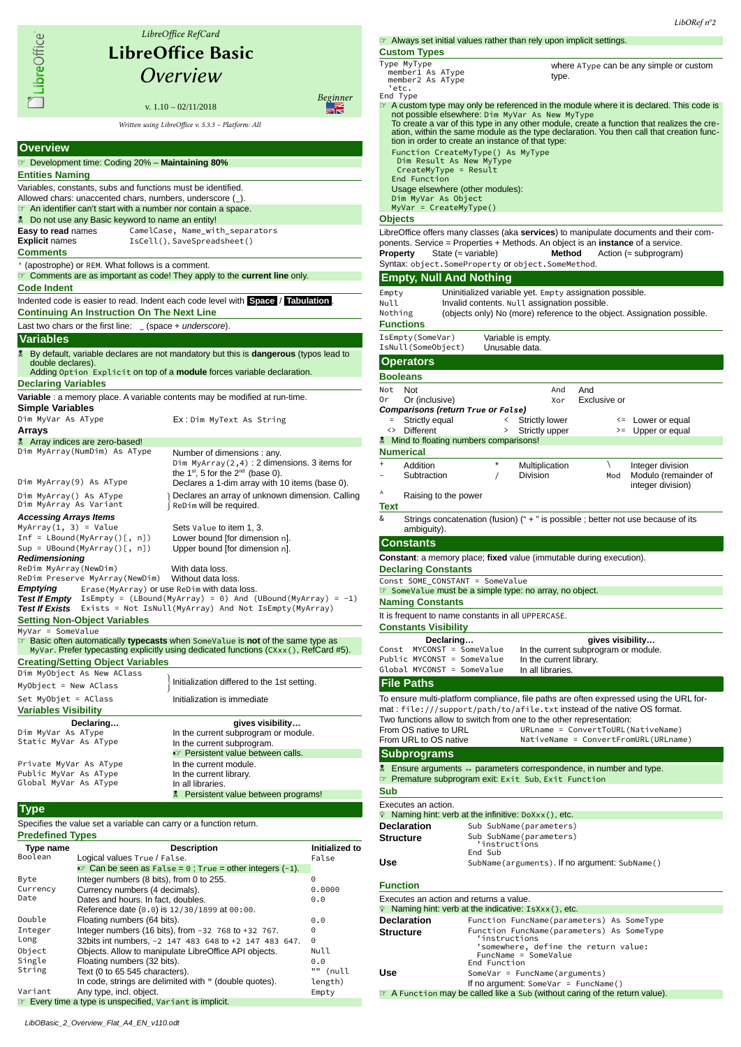|                                                                                                                               | LibreOffice RefCard                                                                                                                                                                                      |  |  |  |  |  |
|-------------------------------------------------------------------------------------------------------------------------------|----------------------------------------------------------------------------------------------------------------------------------------------------------------------------------------------------------|--|--|--|--|--|
| <b>LibreOffice Basic</b>                                                                                                      |                                                                                                                                                                                                          |  |  |  |  |  |
| LibreOffice®                                                                                                                  |                                                                                                                                                                                                          |  |  |  |  |  |
|                                                                                                                               | Overview                                                                                                                                                                                                 |  |  |  |  |  |
|                                                                                                                               | Beginner<br>v. $1.10 - 02/11/2018$                                                                                                                                                                       |  |  |  |  |  |
|                                                                                                                               | Written using LibreOffice v. 5.3.3 - Platform: All                                                                                                                                                       |  |  |  |  |  |
| <b>Overview</b>                                                                                                               |                                                                                                                                                                                                          |  |  |  |  |  |
| Development time: Coding 20% - Maintaining 80%                                                                                |                                                                                                                                                                                                          |  |  |  |  |  |
| <b>Entities Naming</b>                                                                                                        |                                                                                                                                                                                                          |  |  |  |  |  |
| Variables, constants, subs and functions must be identified.                                                                  |                                                                                                                                                                                                          |  |  |  |  |  |
| Allowed chars: unaccented chars, numbers, underscore (_).<br>The An identifier can't start with a number nor contain a space. |                                                                                                                                                                                                          |  |  |  |  |  |
| Do not use any Basic keyword to name an entity!                                                                               |                                                                                                                                                                                                          |  |  |  |  |  |
| <b>Easy to read names</b>                                                                                                     | CamelCase, Name_with_separators                                                                                                                                                                          |  |  |  |  |  |
| <b>Explicit names</b><br><b>Comments</b>                                                                                      | IsCell(), SaveSpreadsheet()                                                                                                                                                                              |  |  |  |  |  |
| ' (apostrophe) or REM. What follows is a comment.                                                                             |                                                                                                                                                                                                          |  |  |  |  |  |
| <b>The Comments are as important as code! They apply to the current line only.</b><br><b>Code Indent</b>                      |                                                                                                                                                                                                          |  |  |  |  |  |
|                                                                                                                               | Indented code is easier to read. Indent each code level with Space / Tabulation.                                                                                                                         |  |  |  |  |  |
| <b>Continuing An Instruction On The Next Line</b>                                                                             |                                                                                                                                                                                                          |  |  |  |  |  |
| Last two chars or the first line: $(space + underscore)$ .                                                                    |                                                                                                                                                                                                          |  |  |  |  |  |
| <b>Variables</b>                                                                                                              |                                                                                                                                                                                                          |  |  |  |  |  |
| double declares).                                                                                                             | <b>By default, variable declares are not mandatory but this is dangerous (typos lead to a</b><br>Adding Option Explicit on top of a <b>module</b> forces variable declaration.                           |  |  |  |  |  |
| <b>Declaring Variables</b>                                                                                                    |                                                                                                                                                                                                          |  |  |  |  |  |
| <b>Variable</b> : a memory place. A variable contents may be modified at run-time.                                            |                                                                                                                                                                                                          |  |  |  |  |  |
| <b>Simple Variables</b><br>Dim MyVar As AType                                                                                 | Ex:Dim MyText As String                                                                                                                                                                                  |  |  |  |  |  |
| Arrays                                                                                                                        |                                                                                                                                                                                                          |  |  |  |  |  |
| Array indices are zero-based!                                                                                                 |                                                                                                                                                                                                          |  |  |  |  |  |
| Dim MyArray(NumDim) As AType                                                                                                  | Number of dimensions: any.<br>Dim MyArray $(2,4)$ : 2 dimensions. 3 items for<br>the 1 <sup>st</sup> , 5 for the 2 <sup>nd</sup> (base 0).                                                               |  |  |  |  |  |
| Dim MyArray(9) As AType                                                                                                       | Declares a 1-dim array with 10 items (base 0).                                                                                                                                                           |  |  |  |  |  |
| Dim MyArray() As AType<br>Dim MyArray As Variant                                                                              | ) Declares an array of unknown dimension. Calling<br>ReDim will be required.                                                                                                                             |  |  |  |  |  |
| <b>Accessing Arrays Items</b>                                                                                                 |                                                                                                                                                                                                          |  |  |  |  |  |
| $MyArray(1, 3) = Value$<br>$Inf = LBound(MyArray()[, n])$                                                                     | Sets Value to item 1, 3.<br>Lower bound [for dimension n].                                                                                                                                               |  |  |  |  |  |
| $Sup = Ubound(MyArray()[, n])$                                                                                                | Upper bound [for dimension n].                                                                                                                                                                           |  |  |  |  |  |
| <b>Redimensioning</b><br>ReDim MyArray(NewDim)                                                                                | With data loss.                                                                                                                                                                                          |  |  |  |  |  |
| ReDim Preserve MyArray(NewDim)                                                                                                | Without data loss.                                                                                                                                                                                       |  |  |  |  |  |
| Erase (MyArray) or use ReDim with data loss.<br>Emptying<br><b>Test If Empty</b>                                              | $IsEmpty = (LBound(MyArray) = 0)$ And $(UBound(MyArray) = -1)$                                                                                                                                           |  |  |  |  |  |
| <b>Test If Exists</b>                                                                                                         | Exists = Not IsNull(MyArray) And Not IsEmpty(MyArray)                                                                                                                                                    |  |  |  |  |  |
| <b>Setting Non-Object Variables</b><br>MyVar = SomeValue                                                                      |                                                                                                                                                                                                          |  |  |  |  |  |
|                                                                                                                               | <b>Ex</b> Basic often automatically <b>typecasts</b> when SomeValue is <b>not</b> of the same type as<br>MyVar. Prefer typecasting explicitly using dedicated functions $(CX) \times (C)$ , RefCard #5). |  |  |  |  |  |
| <b>Creating/Setting Object Variables</b>                                                                                      |                                                                                                                                                                                                          |  |  |  |  |  |
| Dim MyObject As New AClass                                                                                                    | Initialization differed to the 1st setting.                                                                                                                                                              |  |  |  |  |  |
| MyObject = New AClass                                                                                                         |                                                                                                                                                                                                          |  |  |  |  |  |
| Set MyObjet = AClass<br><b>Variables Visibility</b>                                                                           | Initialization is immediate                                                                                                                                                                              |  |  |  |  |  |
| Declaring                                                                                                                     | gives visibility                                                                                                                                                                                         |  |  |  |  |  |
| Dim MyVar As AType<br>Static MyVar As AType                                                                                   | In the current subprogram or module.                                                                                                                                                                     |  |  |  |  |  |
|                                                                                                                               | In the current subprogram.<br>Persistent value between calls.                                                                                                                                            |  |  |  |  |  |
| Private MyVar As AType                                                                                                        | In the current module.                                                                                                                                                                                   |  |  |  |  |  |
| Public MyVar As AType<br>Global MyVar As AType                                                                                | In the current library.<br>In all libraries.                                                                                                                                                             |  |  |  |  |  |
|                                                                                                                               | Persistent value between programs!<br>旻                                                                                                                                                                  |  |  |  |  |  |
| Type                                                                                                                          |                                                                                                                                                                                                          |  |  |  |  |  |
| Specifies the value set a variable can carry or a function return.                                                            |                                                                                                                                                                                                          |  |  |  |  |  |
| <b>Predefined Types</b>                                                                                                       |                                                                                                                                                                                                          |  |  |  |  |  |

| <b>Type name</b> | <b>Description</b>                                                  | Initialized to |  |
|------------------|---------------------------------------------------------------------|----------------|--|
| Boolean          | Logical values True / False.                                        | False          |  |
|                  | $\mathcal{F}$ Can be seen as False = 0; True = other integers (-1). |                |  |
| Byte             | Integer numbers (8 bits), from 0 to 255.                            | 0              |  |
| Currency         | Currency numbers (4 decimals).                                      | 0.0000         |  |
| Date             | Dates and hours. In fact, doubles,                                  | 0.0            |  |
|                  | Reference date (0.0) is 12/30/1899 at 00:00.                        |                |  |
| Double           | Floating numbers (64 bits).                                         | 0.0            |  |
| Integer          | Integer numbers (16 bits), from -32 768 to +32 767.                 | 0              |  |
| Long             | 32bits int numbers, -2 147 483 648 to +2 147 483 647.               | $\Theta$       |  |
| Object           | Objects. Allow to manipulate LibreOffice API objects.               | Null           |  |
| Single           | Floating numbers (32 bits).                                         | 0.0            |  |
| String           | Text (0 to 65 545 characters).                                      | "" (null       |  |
|                  | In code, strings are delimited with " (double quotes).              | length)        |  |
| Variant          | Any type, incl. object.                                             | Empty          |  |
|                  | <b>Every time a type is unspecified, Variant is implicit.</b>       |                |  |

LibORef nº2 ☞ Always set initial values rather than rely upon implicit settings. **Custom Types** Type MyType member1 As AType member2 As AType 'etc. End Type where AType can be any simple or custom type. The A custom type may only be referenced in the module where it is declared. This code is<br>not possible elsewhere: Dim MyVar As New MyType<br>To create a function that realizes the cre-<br>tion, within the same module as the type tion in order to create an instance of that type: Function CreateMyType() As MyType Dim Result As New MyType CreateMyType = Result End Function Usage elsewhere (other modules): Dim MyVar As Object MyVar = CreateMyType() **Objects** LibreOffice offers many classes (aka **services**) to manipulate documents and their components. Service = Properties + Methods. An object is an **instance** of a service. **Property** State (≈ variable) **Method** Action (≈ subprogram) Syntax: object.SomeProperty or object.SomeMethod. **Empty, Null And Nothing** Empty Uninitialized variable yet. Empty assignation possible.<br>Null Invalid contents. Null assignation possible. Null Invalid contents. Null assignation possible.<br>Nothing (objects only) No (more) reference to the ob (objects only) No (more) reference to the object. Assignation possible. **Functions** IsEmpty(SomeVar) Variable is empty. IsNull(SomeObject) **Operators Booleans** Not Not And And Or Or (inclusive) Xor Exclusive or **Comparisons (return True or False)**<br> **Fall Accords** *False*<br> **Fall Accords** *Fall Accords* **<b>***Fall Accords* = Strictly equal < Strictly lower < Lower or equal<br>
<> Different > Strictly upper > > Upper or equal > Strictly upper > > Upper or equal **Wind to floating numbers comparisons! Numerical** Addition  $\star$  Multiplication \ Integer division<br>Subtraction / Division Mod Modulo (remain Mod Modulo (remainder of integer division) ^ Raising to the power & Strings concatenation (fusion) (" + " is possible ; better not use because of its ambiguity). **Constants Constant**: a memory place; **fixed** value (immutable during execution). **Declaring Constants** Const SOME\_CONSTANT = SomeValue ☞ SomeValue must be a simple type: no array, no object. **Naming Constants** It is frequent to name constants in all UPPERCASE. **Constants Visibility Declaring… gives visibility…** Const MYCONST = SomeValue In the current subprogram or module. PUCONST = SomeValue In the current subprincipality Public MYCONST = SomeValue In the current library.<br>Global MYCONST = SomeValue In the current library. Global MYCONST = SomeValue **File Paths** To ensure multi-platform compliance, file paths are often expressed using the URL format : file:///support/path/to/afile.txt instead of the native OS format. Two functions allow to switch from one to the other representation: From OS native to URL URLname = ConvertToURL(NativeName)<br>From URL to OS native **NativeName = ConvertFromURL(URLnam** NativeName = ConvertFromURL(URLname) **Subprograms Ensure arguments ↔ parameters correspondence, in number and type.** ☞ Premature subprogram exit: Exit Sub, Exit Function

## **Sub**

**Text**

| Executes an action. |                                                              |
|---------------------|--------------------------------------------------------------|
|                     | $\hat{P}$ Naming hint: verb at the infinitive: DoXxx(), etc. |
| <b>Declaration</b>  | Sub SubName (parameters)                                     |
| <b>Structure</b>    | Sub SubName(parameters)<br>'instructions<br>End Sub          |
| Use                 | SubName (arguments). If no argument: SubName ()              |

| Executes an action and returns a value. |                                                                                                                                            |
|-----------------------------------------|--------------------------------------------------------------------------------------------------------------------------------------------|
|                                         | $\hat{P}$ Naming hint: verb at the indicative: IsXxx(), etc.                                                                               |
| <b>Declaration</b>                      | Function FuncName(parameters) As SomeType                                                                                                  |
| Structure                               | Function FuncName(parameters) As SomeType<br>'instructions<br>'somewhere, define the return value:<br>FuncName = SomeValue<br>End Function |
| Use                                     | $SomeVar = Function(( arguments)$                                                                                                          |
|                                         | If no argument: SomeVar = $FuncName()$                                                                                                     |
|                                         | $\sim \Lambda$ Eugenian may be colled like a Sub fujithout earing of the return value)                                                     |